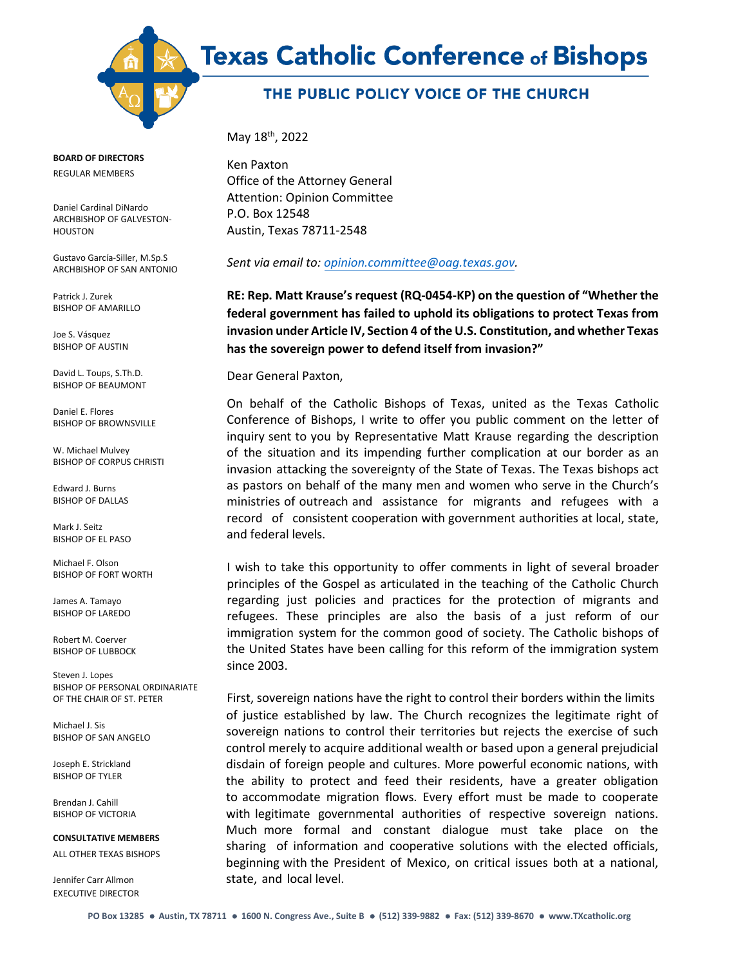



## THE PUBLIC POLICY VOICE OF THE CHURCH

**BOARD OF DIRECTORS**

REGULAR MEMBERS

Daniel Cardinal DiNardo ARCHBISHOP OF GALVESTON-HOUSTON

Gustavo García-Siller, M.Sp.S ARCHBISHOP OF SAN ANTONIO

Patrick J. Zurek BISHOP OF AMARILLO

Joe S. Vásquez BISHOP OF AUSTIN

David L. Toups, S.Th.D. BISHOP OF BEAUMONT

Daniel E. Flores BISHOP OF BROWNSVILLE

W. Michael Mulvey BISHOP OF CORPUS CHRISTI

Edward J. Burns BISHOP OF DALLAS

Mark J. Seitz BISHOP OF EL PASO

Michael F. Olson BISHOP OF FORT WORTH

James A. Tamayo BISHOP OF LAREDO

Robert M. Coerver BISHOP OF LUBBOCK

Steven J. Lopes BISHOP OF PERSONAL ORDINARIATE OF THE CHAIR OF ST. PETER

Michael J. Sis BISHOP OF SAN ANGELO

Joseph E. Strickland BISHOP OF TYLER

Brendan J. Cahill BISHOP OF VICTORIA

**CONSULTATIVE MEMBERS** ALL OTHER TEXAS BISHOPS

Jennifer Carr Allmon EXECUTIVE DIRECTOR May 18<sup>th</sup>, 2022

Ken Paxton Office of the Attorney General Attention: Opinion Committee P.O. Box 12548 Austin, Texas 78711-2548

*Sent via email to: [opinion.committee@oag.texas.gov.](mailto:opinion.committee@oag.texas.gov)* 

**RE: Rep. Matt Krause's request (RQ-0454-KP) on the question of "Whether the federal government has failed to uphold its obligations to protect Texas from invasion under Article IV, Section 4 of the U.S. Constitution, and whether Texas has the sovereign power to defend itself from invasion?"** 

Dear General Paxton,

On behalf of the Catholic Bishops of Texas, united as the Texas Catholic Conference of Bishops, I write to offer you public comment on the letter of inquiry sent to you by Representative Matt Krause regarding the description of the situation and its impending further complication at our border as an invasion attacking the sovereignty of the State of Texas. The Texas bishops act as pastors on behalf of the many men and women who serve in the Church's ministries of outreach and assistance for migrants and refugees with a record of consistent cooperation with government authorities at local, state, and federal levels.

I wish to take this opportunity to offer comments in light of several broader principles of the Gospel as articulated in the teaching of the Catholic Church regarding just policies and practices for the protection of migrants and refugees. These principles are also the basis of a just reform of our immigration system for the common good of society. The Catholic bishops of the United States have been calling for this reform of the immigration system since 2003.

First, sovereign nations have the right to control their borders within the limits of justice established by law. The Church recognizes the legitimate right of sovereign nations to control their territories but rejects the exercise of such control merely to acquire additional wealth or based upon a general prejudicial disdain of foreign people and cultures. More powerful economic nations, with the ability to protect and feed their residents, have a greater obligation to accommodate migration flows. Every effort must be made to cooperate with legitimate governmental authorities of respective sovereign nations. Much more formal and constant dialogue must take place on the sharing of information and cooperative solutions with the elected officials, beginning with the President of Mexico, on critical issues both at a national, state, and local level.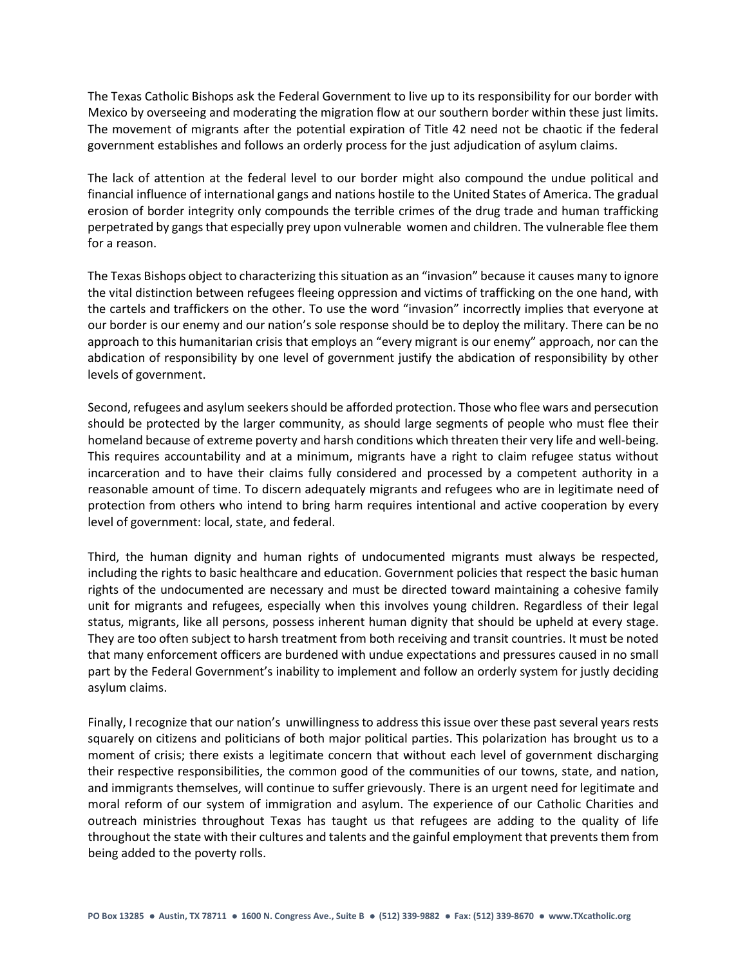The Texas Catholic Bishops ask the Federal Government to live up to its responsibility for our border with Mexico by overseeing and moderating the migration flow at our southern border within these just limits. The movement of migrants after the potential expiration of Title 42 need not be chaotic if the federal government establishes and follows an orderly process for the just adjudication of asylum claims.

The lack of attention at the federal level to our border might also compound the undue political and financial influence of international gangs and nations hostile to the United States of America. The gradual erosion of border integrity only compounds the terrible crimes of the drug trade and human trafficking perpetrated by gangs that especially prey upon vulnerable women and children. The vulnerable flee them for a reason.

The Texas Bishops object to characterizing thissituation as an "invasion" because it causes many to ignore the vital distinction between refugees fleeing oppression and victims of trafficking on the one hand, with the cartels and traffickers on the other. To use the word "invasion" incorrectly implies that everyone at our border is our enemy and our nation's sole response should be to deploy the military. There can be no approach to this humanitarian crisis that employs an "every migrant is our enemy" approach, nor can the abdication of responsibility by one level of government justify the abdication of responsibility by other levels of government.

Second, refugees and asylum seekers should be afforded protection. Those who flee wars and persecution should be protected by the larger community, as should large segments of people who must flee their homeland because of extreme poverty and harsh conditions which threaten their very life and well-being. This requires accountability and at a minimum, migrants have a right to claim refugee status without incarceration and to have their claims fully considered and processed by a competent authority in a reasonable amount of time. To discern adequately migrants and refugees who are in legitimate need of protection from others who intend to bring harm requires intentional and active cooperation by every level of government: local, state, and federal.

Third, the human dignity and human rights of undocumented migrants must always be respected, including the rights to basic healthcare and education. Government policies that respect the basic human rights of the undocumented are necessary and must be directed toward maintaining a cohesive family unit for migrants and refugees, especially when this involves young children. Regardless of their legal status, migrants, like all persons, possess inherent human dignity that should be upheld at every stage. They are too often subject to harsh treatment from both receiving and transit countries. It must be noted that many enforcement officers are burdened with undue expectations and pressures caused in no small part by the Federal Government's inability to implement and follow an orderly system for justly deciding asylum claims.

Finally, I recognize that our nation's unwillingness to address this issue over these past several years rests squarely on citizens and politicians of both major political parties. This polarization has brought us to a moment of crisis; there exists a legitimate concern that without each level of government discharging their respective responsibilities, the common good of the communities of our towns, state, and nation, and immigrants themselves, will continue to suffer grievously. There is an urgent need for legitimate and moral reform of our system of immigration and asylum. The experience of our Catholic Charities and outreach ministries throughout Texas has taught us that refugees are adding to the quality of life throughout the state with their cultures and talents and the gainful employment that prevents them from being added to the poverty rolls.